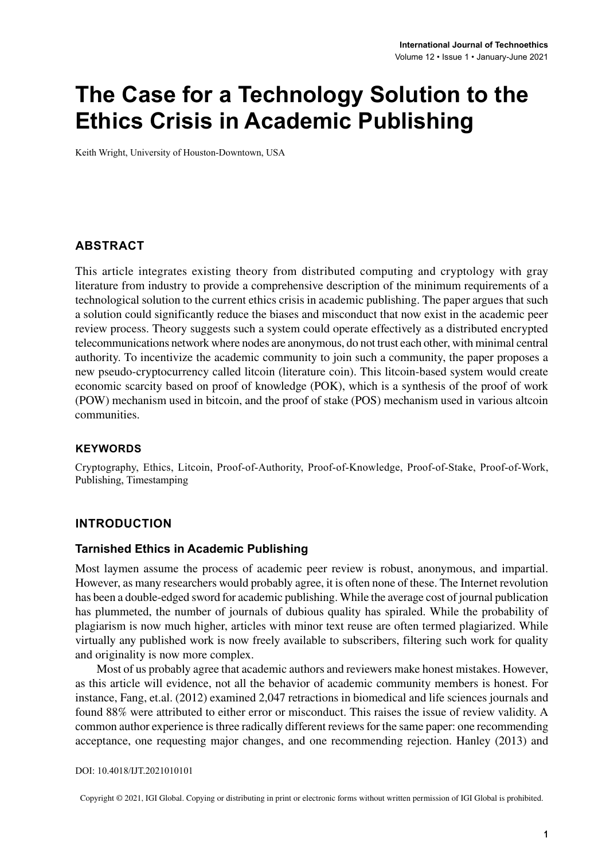# **The Case for a Technology Solution to the Ethics Crisis in Academic Publishing**

Keith Wright, University of Houston-Downtown, USA

#### **ABSTRACT**

This article integrates existing theory from distributed computing and cryptology with gray literature from industry to provide a comprehensive description of the minimum requirements of a technological solution to the current ethics crisis in academic publishing. The paper argues that such a solution could significantly reduce the biases and misconduct that now exist in the academic peer review process. Theory suggests such a system could operate effectively as a distributed encrypted telecommunications network where nodes are anonymous, do not trust each other, with minimal central authority. To incentivize the academic community to join such a community, the paper proposes a new pseudo-cryptocurrency called litcoin (literature coin). This litcoin-based system would create economic scarcity based on proof of knowledge (POK), which is a synthesis of the proof of work (POW) mechanism used in bitcoin, and the proof of stake (POS) mechanism used in various altcoin communities.

#### **Keywords**

Cryptography, Ethics, Litcoin, Proof-of-Authority, Proof-of-Knowledge, Proof-of-Stake, Proof-of-Work, Publishing, Timestamping

## **Introduction**

#### **Tarnished Ethics in Academic Publishing**

Most laymen assume the process of academic peer review is robust, anonymous, and impartial. However, as many researchers would probably agree, it is often none of these. The Internet revolution has been a double-edged sword for academic publishing. While the average cost of journal publication has plummeted, the number of journals of dubious quality has spiraled. While the probability of plagiarism is now much higher, articles with minor text reuse are often termed plagiarized. While virtually any published work is now freely available to subscribers, filtering such work for quality and originality is now more complex.

Most of us probably agree that academic authors and reviewers make honest mistakes. However, as this article will evidence, not all the behavior of academic community members is honest. For instance, Fang, et.al. (2012) examined 2,047 retractions in biomedical and life sciences journals and found 88% were attributed to either error or misconduct. This raises the issue of review validity. A common author experience is three radically different reviews for the same paper: one recommending acceptance, one requesting major changes, and one recommending rejection. Hanley (2013) and

DOI: 10.4018/IJT.2021010101

Copyright © 2021, IGI Global. Copying or distributing in print or electronic forms without written permission of IGI Global is prohibited.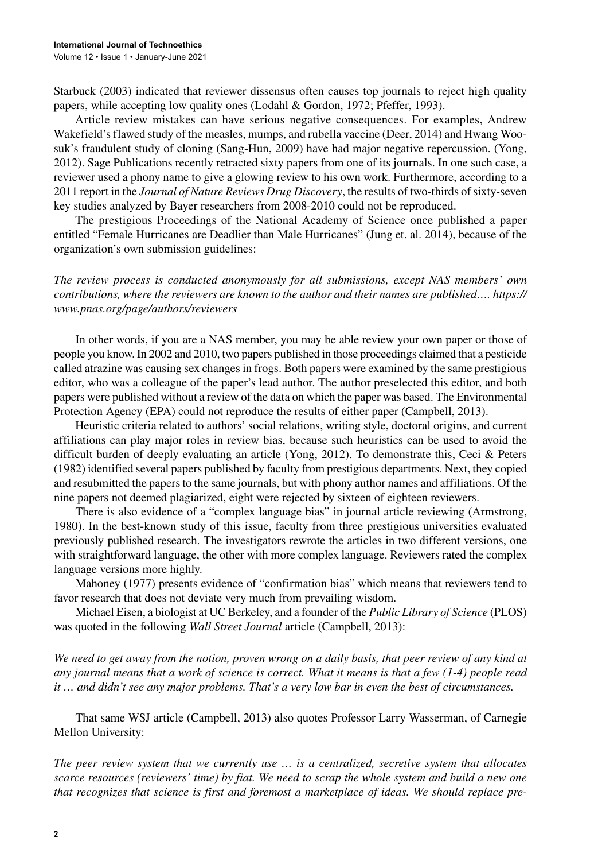Starbuck (2003) indicated that reviewer dissensus often causes top journals to reject high quality papers, while accepting low quality ones (Lodahl & Gordon, 1972; Pfeffer, 1993).

Article review mistakes can have serious negative consequences. For examples, Andrew Wakefield's flawed study of the measles, mumps, and rubella vaccine (Deer, 2014) and Hwang Woosuk's fraudulent study of cloning (Sang-Hun, 2009) have had major negative repercussion. (Yong, 2012). Sage Publications recently retracted sixty papers from one of its journals. In one such case, a reviewer used a phony name to give a glowing review to his own work. Furthermore, according to a 2011 report in the *Journal of Nature Reviews Drug Discovery*, the results of two-thirds of sixty-seven key studies analyzed by Bayer researchers from 2008-2010 could not be reproduced.

The prestigious Proceedings of the National Academy of Science once published a paper entitled "Female Hurricanes are Deadlier than Male Hurricanes" (Jung et. al. 2014), because of the organization's own submission guidelines:

*The review process is conducted anonymously for all submissions, except NAS members' own contributions, where the reviewers are known to the author and their names are published…. https:// www.pnas.org/page/authors/reviewers*

In other words, if you are a NAS member, you may be able review your own paper or those of people you know. In 2002 and 2010, two papers published in those proceedings claimed that a pesticide called atrazine was causing sex changesin frogs. Both papers were examined by the same prestigious editor, who was a colleague of the paper's lead author. The author preselected this editor, and both papers were published without a review of the data on which the paper was based. The Environmental Protection Agency (EPA) could not reproduce the results of either paper (Campbell, 2013).

Heuristic criteria related to authors' social relations, writing style, doctoral origins, and current affiliations can play major roles in review bias, because such heuristics can be used to avoid the difficult burden of deeply evaluating an article (Yong, 2012). To demonstrate this, Ceci & Peters (1982) identified several papers published by faculty from prestigious departments. Next, they copied and resubmitted the papersto the same journals, but with phony author names and affiliations. Of the nine papers not deemed plagiarized, eight were rejected by sixteen of eighteen reviewers.

There is also evidence of a "complex language bias" in journal article reviewing (Armstrong, 1980). In the best-known study of this issue, faculty from three prestigious universities evaluated previously published research. The investigators rewrote the articles in two different versions, one with straightforward language, the other with more complex language. Reviewers rated the complex language versions more highly.

Mahoney (1977) presents evidence of "confirmation bias" which means that reviewers tend to favor research that does not deviate very much from prevailing wisdom.

Michael Eisen, a biologist at UC Berkeley, and a founder of the *Public Library of Science* (PLOS) was quoted in the following *Wall Street Journal* article (Campbell, 2013):

*We need to get away from the notion, proven wrong on a daily basis, that peer review of any kind at any journal means that a work of science is correct. What it means is that a few (1-4) people read it … and didn't see any major problems. That's a very low bar in even the best of circumstances.*

That same WSJ article (Campbell, 2013) also quotes Professor Larry Wasserman, of Carnegie Mellon University:

*The peer review system that we currently use … is a centralized, secretive system that allocates scarce resources (reviewers' time) by fiat. We need to scrap the whole system and build a new one that recognizes that science is first and foremost a marketplace of ideas. We should replace pre-*